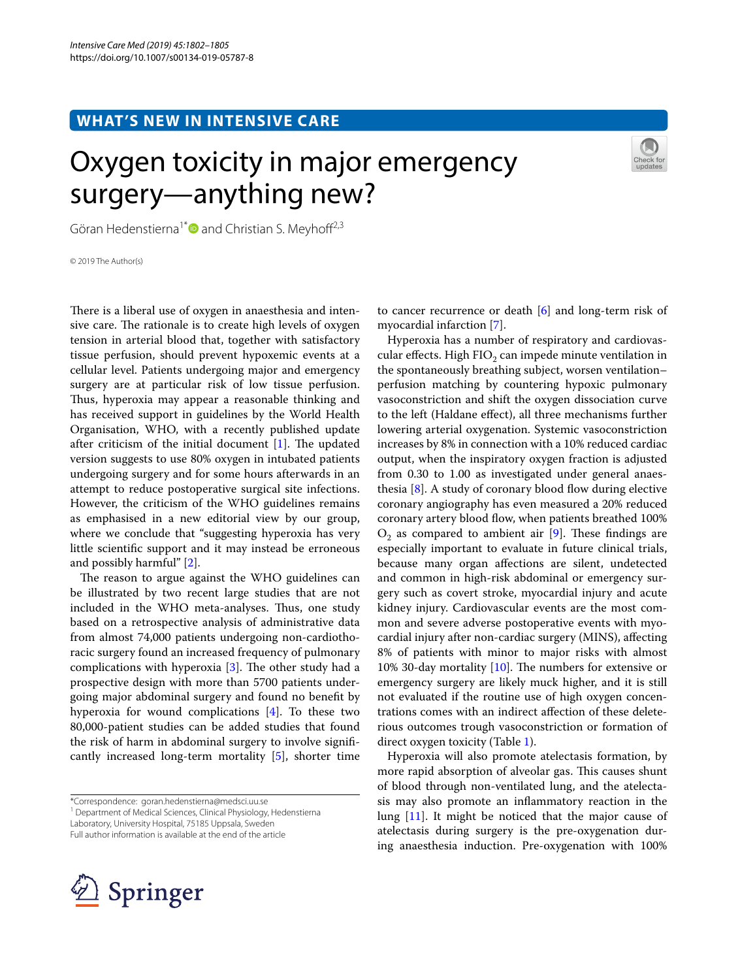## **WHAT'S NEW IN INTENSIVE CARE**

# Oxygen toxicity in major emergency surgery—anything new?



Göran Hedenstierna<sup>1\*</sup> and Christian S. Meyhoff<sup>2,3</sup>

© 2019 The Author(s)

There is a liberal use of oxygen in anaesthesia and intensive care. The rationale is to create high levels of oxygen tension in arterial blood that, together with satisfactory tissue perfusion, should prevent hypoxemic events at a cellular level. Patients undergoing major and emergency surgery are at particular risk of low tissue perfusion. Thus, hyperoxia may appear a reasonable thinking and has received support in guidelines by the World Health Organisation, WHO, with a recently published update after criticism of the initial document  $[1]$  $[1]$ . The updated version suggests to use 80% oxygen in intubated patients undergoing surgery and for some hours afterwards in an attempt to reduce postoperative surgical site infections. However, the criticism of the WHO guidelines remains as emphasised in a new editorial view by our group, where we conclude that "suggesting hyperoxia has very little scientifc support and it may instead be erroneous and possibly harmful" [\[2](#page-2-1)].

The reason to argue against the WHO guidelines can be illustrated by two recent large studies that are not included in the WHO meta-analyses. Thus, one study based on a retrospective analysis of administrative data from almost 74,000 patients undergoing non-cardiothoracic surgery found an increased frequency of pulmonary complications with hyperoxia  $[3]$  $[3]$ . The other study had a prospective design with more than 5700 patients undergoing major abdominal surgery and found no beneft by hyperoxia for wound complications [[4\]](#page-2-3). To these two 80,000-patient studies can be added studies that found the risk of harm in abdominal surgery to involve signifcantly increased long-term mortality [\[5](#page-2-4)], shorter time

Full author information is available at the end of the article



to cancer recurrence or death [[6\]](#page-2-5) and long-term risk of myocardial infarction [\[7](#page-2-6)].

Hyperoxia has a number of respiratory and cardiovascular effects. High  $FIO<sub>2</sub>$  can impede minute ventilation in the spontaneously breathing subject, worsen ventilation– perfusion matching by countering hypoxic pulmonary vasoconstriction and shift the oxygen dissociation curve to the left (Haldane efect), all three mechanisms further lowering arterial oxygenation. Systemic vasoconstriction increases by 8% in connection with a 10% reduced cardiac output, when the inspiratory oxygen fraction is adjusted from 0.30 to 1.00 as investigated under general anaesthesia  $[8]$  $[8]$  $[8]$ . A study of coronary blood flow during elective coronary angiography has even measured a 20% reduced coronary artery blood flow, when patients breathed 100%  $O_2$  as compared to ambient air [\[9](#page-2-8)]. These findings are especially important to evaluate in future clinical trials, because many organ afections are silent, undetected and common in high-risk abdominal or emergency surgery such as covert stroke, myocardial injury and acute kidney injury. Cardiovascular events are the most common and severe adverse postoperative events with myocardial injury after non-cardiac surgery (MINS), afecting 8% of patients with minor to major risks with almost 10% 30-day mortality  $[10]$  $[10]$ . The numbers for extensive or emergency surgery are likely muck higher, and it is still not evaluated if the routine use of high oxygen concentrations comes with an indirect afection of these deleterious outcomes trough vasoconstriction or formation of direct oxygen toxicity (Table [1\)](#page-1-0).

Hyperoxia will also promote atelectasis formation, by more rapid absorption of alveolar gas. This causes shunt of blood through non-ventilated lung, and the atelectasis may also promote an infammatory reaction in the lung [\[11](#page-2-10)]. It might be noticed that the major cause of atelectasis during surgery is the pre-oxygenation during anaesthesia induction. Pre-oxygenation with 100%

<sup>\*</sup>Correspondence: goran.hedenstierna@medsci.uu.se

<sup>&</sup>lt;sup>1</sup> Department of Medical Sciences, Clinical Physiology, Hedenstierna

Laboratory, University Hospital, 75185 Uppsala, Sweden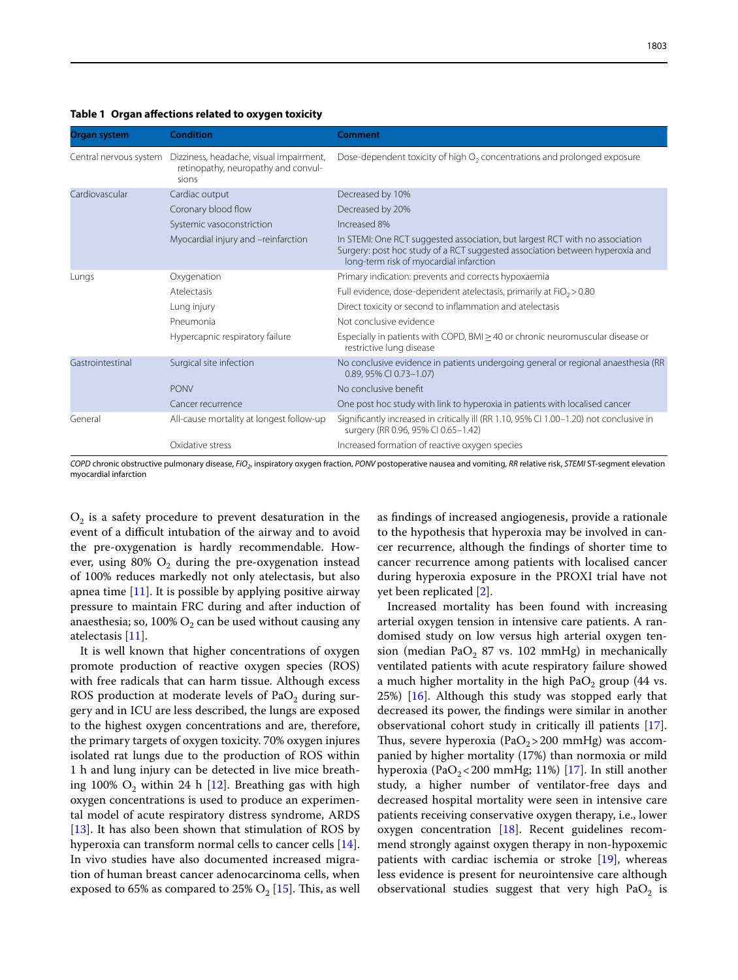| Organ system           | <b>Condition</b>                                                                        | Comment                                                                                                                                                                                                 |
|------------------------|-----------------------------------------------------------------------------------------|---------------------------------------------------------------------------------------------------------------------------------------------------------------------------------------------------------|
| Central nervous system | Dizziness, headache, visual impairment,<br>retinopathy, neuropathy and convul-<br>sions | Dose-dependent toxicity of high O <sub>2</sub> concentrations and prolonged exposure                                                                                                                    |
| Cardiovascular         | Cardiac output                                                                          | Decreased by 10%                                                                                                                                                                                        |
|                        | Coronary blood flow                                                                     | Decreased by 20%                                                                                                                                                                                        |
|                        | Systemic vasoconstriction                                                               | Increased 8%                                                                                                                                                                                            |
|                        | Myocardial injury and -reinfarction                                                     | In STEMI: One RCT suggested association, but largest RCT with no association<br>Surgery: post hoc study of a RCT suggested association between hyperoxia and<br>long-term risk of myocardial infarction |
| Lungs                  | Oxygenation                                                                             | Primary indication: prevents and corrects hypoxaemia                                                                                                                                                    |
|                        | Atelectasis                                                                             | Full evidence, dose-dependent atelectasis, primarily at $FiO2 > 0.80$                                                                                                                                   |
|                        | Lung injury                                                                             | Direct toxicity or second to inflammation and atelectasis                                                                                                                                               |
|                        | Pneumonia                                                                               | Not conclusive evidence                                                                                                                                                                                 |
|                        | Hypercapnic respiratory failure                                                         | Especially in patients with COPD, BMI $\geq$ 40 or chronic neuromuscular disease or<br>restrictive lung disease                                                                                         |
| Gastrointestinal       | Surgical site infection                                                                 | No conclusive evidence in patients undergoing general or regional anaesthesia (RR<br>0.89, 95% CI 0.73-1.07)                                                                                            |
|                        | <b>PONV</b>                                                                             | No conclusive benefit                                                                                                                                                                                   |
|                        | Cancer recurrence                                                                       | One post hoc study with link to hyperoxia in patients with localised cancer                                                                                                                             |
| General                | All-cause mortality at longest follow-up                                                | Significantly increased in critically ill (RR 1.10, 95% CI 1.00-1.20) not conclusive in<br>surgery (RR 0.96, 95% CI 0.65-1.42)                                                                          |
|                        | Oxidative stress                                                                        | Increased formation of reactive oxygen species                                                                                                                                                          |

## <span id="page-1-0"></span>**Table 1 Organ afections related to oxygen toxicity**

*COPD* chronic obstructive pulmonary disease, *FiO2*, inspiratory oxygen fraction, *PONV* postoperative nausea and vomiting, *RR* relative risk, *STEMI* ST-segment elevation myocardial infarction

 $O<sub>2</sub>$  is a safety procedure to prevent desaturation in the event of a difficult intubation of the airway and to avoid the pre-oxygenation is hardly recommendable. However, using  $80\%$  O<sub>2</sub> during the pre-oxygenation instead of 100% reduces markedly not only atelectasis, but also apnea time  $[11]$  $[11]$ . It is possible by applying positive airway pressure to maintain FRC during and after induction of anaesthesia; so, 100%  $O_2$  can be used without causing any atelectasis [[11\]](#page-2-10).

It is well known that higher concentrations of oxygen promote production of reactive oxygen species (ROS) with free radicals that can harm tissue. Although excess ROS production at moderate levels of  $PaO<sub>2</sub>$  during surgery and in ICU are less described, the lungs are exposed to the highest oxygen concentrations and are, therefore, the primary targets of oxygen toxicity. 70% oxygen injures isolated rat lungs due to the production of ROS within 1 h and lung injury can be detected in live mice breathing 100%  $O_2$  within 24 h [\[12](#page-2-11)]. Breathing gas with high oxygen concentrations is used to produce an experimental model of acute respiratory distress syndrome, ARDS [ $13$ ]. It has also been shown that stimulation of ROS by hyperoxia can transform normal cells to cancer cells [\[14](#page-2-13)]. In vivo studies have also documented increased migration of human breast cancer adenocarcinoma cells, when exposed to 65% as compared to 25%  $O_2$  [\[15](#page-2-14)]. This, as well

as fndings of increased angiogenesis, provide a rationale to the hypothesis that hyperoxia may be involved in cancer recurrence, although the fndings of shorter time to cancer recurrence among patients with localised cancer during hyperoxia exposure in the PROXI trial have not yet been replicated [\[2](#page-2-1)].

Increased mortality has been found with increasing arterial oxygen tension in intensive care patients. A randomised study on low versus high arterial oxygen tension (median PaO<sub>2</sub> 87 vs. 102 mmHg) in mechanically ventilated patients with acute respiratory failure showed a much higher mortality in the high  $PaO<sub>2</sub>$  group (44 vs. 25%) [\[16](#page-2-15)]. Although this study was stopped early that decreased its power, the fndings were similar in another observational cohort study in critically ill patients [\[17](#page-2-16)]. Thus, severe hyperoxia (PaO<sub>2</sub>>200 mmHg) was accompanied by higher mortality (17%) than normoxia or mild hyperoxia (PaO<sub>2</sub><200 mmHg; 11%) [[17](#page-2-16)]. In still another study, a higher number of ventilator-free days and decreased hospital mortality were seen in intensive care patients receiving conservative oxygen therapy, i.e., lower oxygen concentration [[18\]](#page-2-17). Recent guidelines recommend strongly against oxygen therapy in non-hypoxemic patients with cardiac ischemia or stroke [\[19](#page-3-0)], whereas less evidence is present for neurointensive care although observational studies suggest that very high  $PaO<sub>2</sub>$  is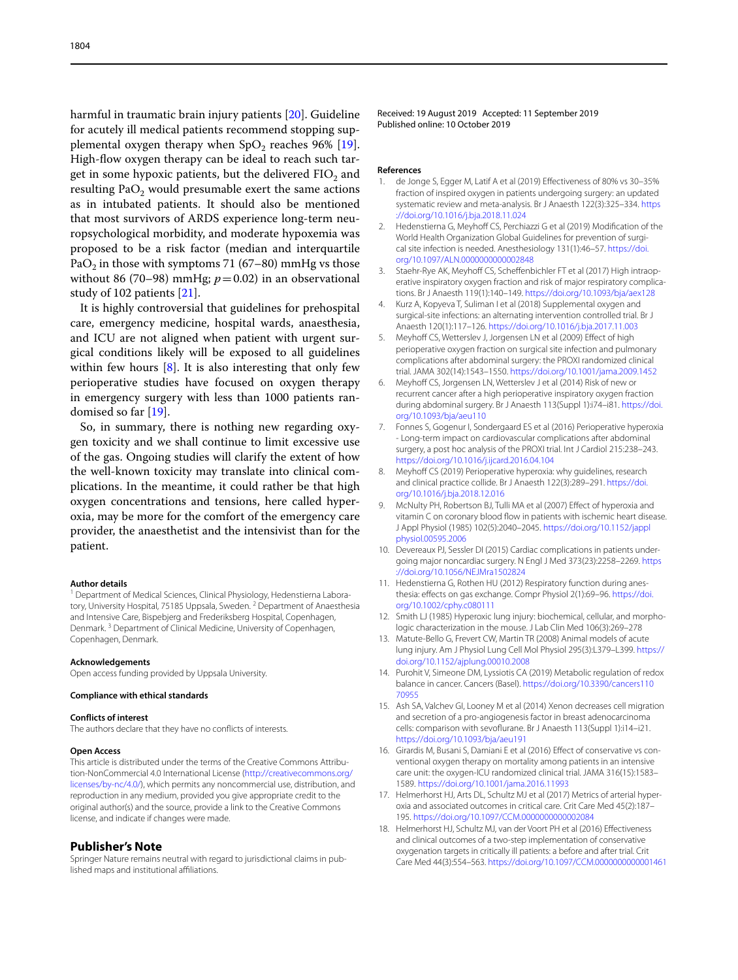harmful in traumatic brain injury patients [[20\]](#page-3-1). Guideline for acutely ill medical patients recommend stopping supplemental oxygen therapy when  $SpO<sub>2</sub>$  reaches 96% [\[19](#page-3-0)]. High-flow oxygen therapy can be ideal to reach such target in some hypoxic patients, but the delivered FIO<sub>2</sub> and resulting PaO<sub>2</sub> would presumable exert the same actions as in intubated patients. It should also be mentioned that most survivors of ARDS experience long-term neuropsychological morbidity, and moderate hypoxemia was proposed to be a risk factor (median and interquartile PaO<sub>2</sub> in those with symptoms 71 (67–80) mmHg vs those without 86 (70–98) mmHg;  $p=0.02$ ) in an observational study of 102 patients [[21](#page-3-2)].

It is highly controversial that guidelines for prehospital care, emergency medicine, hospital wards, anaesthesia, and ICU are not aligned when patient with urgent surgical conditions likely will be exposed to all guidelines within few hours  $[8]$  $[8]$ . It is also interesting that only few perioperative studies have focused on oxygen therapy in emergency surgery with less than 1000 patients randomised so far [\[19\]](#page-3-0).

So, in summary, there is nothing new regarding oxygen toxicity and we shall continue to limit excessive use of the gas. Ongoing studies will clarify the extent of how the well-known toxicity may translate into clinical complications. In the meantime, it could rather be that high oxygen concentrations and tensions, here called hyperoxia, may be more for the comfort of the emergency care provider, the anaesthetist and the intensivist than for the patient.

### **Author details**

<sup>1</sup> Department of Medical Sciences, Clinical Physiology, Hedenstierna Laboratory, University Hospital, 75185 Uppsala, Sweden.<sup>2</sup> Department of Anaesthesia and Intensive Care, Bispebjerg and Frederiksberg Hospital, Copenhagen, Denmark. 3 Department of Clinical Medicine, University of Copenhagen, Copenhagen, Denmark.

### **Acknowledgements**

Open access funding provided by Uppsala University.

## **Compliance with ethical standards**

#### **Conflicts of interest**

The authors declare that they have no conficts of interests.

## **Open Access**

This article is distributed under the terms of the Creative Commons Attribution-NonCommercial 4.0 International License ([http://creativecommons.org/](http://creativecommons.org/licenses/by-nc/4.0/) [licenses/by-nc/4.0/\)](http://creativecommons.org/licenses/by-nc/4.0/), which permits any noncommercial use, distribution, and reproduction in any medium, provided you give appropriate credit to the original author(s) and the source, provide a link to the Creative Commons license, and indicate if changes were made.

## **Publisher's Note**

Springer Nature remains neutral with regard to jurisdictional claims in published maps and institutional afliations.

Received: 19 August 2019 Accepted: 11 September 2019 Published online: 10 October 2019

### **References**

- <span id="page-2-0"></span>de Jonge S, Egger M, Latif A et al (2019) Effectiveness of 80% vs 30–35% fraction of inspired oxygen in patients undergoing surgery: an updated systematic review and meta-analysis. Br J Anaesth 122(3):325–334. [https](https://doi.org/10.1016/j.bja.2018.11.024) [://doi.org/10.1016/j.bja.2018.11.024](https://doi.org/10.1016/j.bja.2018.11.024)
- <span id="page-2-1"></span>2. Hedenstierna G, Meyhoff CS, Perchiazzi G et al (2019) Modification of the World Health Organization Global Guidelines for prevention of surgical site infection is needed. Anesthesiology 131(1):46–57. [https://doi.](https://doi.org/10.1097/ALN.0000000000002848) [org/10.1097/ALN.0000000000002848](https://doi.org/10.1097/ALN.0000000000002848)
- <span id="page-2-2"></span>3. Staehr-Rye AK, Meyhoff CS, Scheffenbichler FT et al (2017) High intraoperative inspiratory oxygen fraction and risk of major respiratory complications. Br J Anaesth 119(1):140–149. <https://doi.org/10.1093/bja/aex128>
- <span id="page-2-3"></span>4. Kurz A, Kopyeva T, Suliman I et al (2018) Supplemental oxygen and surgical-site infections: an alternating intervention controlled trial. Br J Anaesth 120(1):117–126. <https://doi.org/10.1016/j.bja.2017.11.003>
- <span id="page-2-4"></span>5. Meyhoff CS, Wetterslev J, Jorgensen LN et al (2009) Effect of high perioperative oxygen fraction on surgical site infection and pulmonary complications after abdominal surgery: the PROXI randomized clinical trial. JAMA 302(14):1543–1550. <https://doi.org/10.1001/jama.2009.1452>
- <span id="page-2-5"></span>6. Meyhoff CS, Jorgensen LN, Wetterslev J et al (2014) Risk of new or recurrent cancer after a high perioperative inspiratory oxygen fraction during abdominal surgery. Br J Anaesth 113(Suppl 1):i74–i81. [https://doi.](https://doi.org/10.1093/bja/aeu110) [org/10.1093/bja/aeu110](https://doi.org/10.1093/bja/aeu110)
- <span id="page-2-6"></span>7. Fonnes S, Gogenur I, Sondergaard ES et al (2016) Perioperative hyperoxia - Long-term impact on cardiovascular complications after abdominal surgery, a post hoc analysis of the PROXI trial. Int J Cardiol 215:238–243. <https://doi.org/10.1016/j.ijcard.2016.04.104>
- <span id="page-2-7"></span>8. Meyhoff CS (2019) Perioperative hyperoxia: why guidelines, research and clinical practice collide. Br J Anaesth 122(3):289–291. [https://doi.](https://doi.org/10.1016/j.bja.2018.12.016) [org/10.1016/j.bja.2018.12.016](https://doi.org/10.1016/j.bja.2018.12.016)
- <span id="page-2-8"></span>9. McNulty PH, Robertson BJ, Tulli MA et al (2007) Efect of hyperoxia and vitamin C on coronary blood flow in patients with ischemic heart disease. J Appl Physiol (1985) 102(5):2040–2045. [https://doi.org/10.1152/jappl](https://doi.org/10.1152/japplphysiol.00595.2006) [physiol.00595.2006](https://doi.org/10.1152/japplphysiol.00595.2006)
- <span id="page-2-9"></span>10. Devereaux PJ, Sessler DI (2015) Cardiac complications in patients undergoing major noncardiac surgery. N Engl J Med 373(23):2258–2269. [https](https://doi.org/10.1056/NEJMra1502824) [://doi.org/10.1056/NEJMra1502824](https://doi.org/10.1056/NEJMra1502824)
- <span id="page-2-10"></span>11. Hedenstierna G, Rothen HU (2012) Respiratory function during anesthesia: effects on gas exchange. Compr Physiol 2(1):69-96. [https://doi.](https://doi.org/10.1002/cphy.c080111) [org/10.1002/cphy.c080111](https://doi.org/10.1002/cphy.c080111)
- <span id="page-2-11"></span>12. Smith LJ (1985) Hyperoxic lung injury: biochemical, cellular, and morphologic characterization in the mouse. J Lab Clin Med 106(3):269–278
- <span id="page-2-12"></span>13. Matute-Bello G, Frevert CW, Martin TR (2008) Animal models of acute lung injury. Am J Physiol Lung Cell Mol Physiol 295(3):L379–L399. [https://](https://doi.org/10.1152/ajplung.00010.2008) [doi.org/10.1152/ajplung.00010.2008](https://doi.org/10.1152/ajplung.00010.2008)
- <span id="page-2-13"></span>14. Purohit V, Simeone DM, Lyssiotis CA (2019) Metabolic regulation of redox balance in cancer. Cancers (Basel). [https://doi.org/10.3390/cancers110](https://doi.org/10.3390/cancers11070955) [70955](https://doi.org/10.3390/cancers11070955)
- <span id="page-2-14"></span>15. Ash SA, Valchev GI, Looney M et al (2014) Xenon decreases cell migration and secretion of a pro-angiogenesis factor in breast adenocarcinoma cells: comparison with sevofurane. Br J Anaesth 113(Suppl 1):i14–i21. <https://doi.org/10.1093/bja/aeu191>
- <span id="page-2-15"></span>16. Girardis M, Busani S, Damiani E et al (2016) Efect of conservative vs conventional oxygen therapy on mortality among patients in an intensive care unit: the oxygen-ICU randomized clinical trial. JAMA 316(15):1583– 1589.<https://doi.org/10.1001/jama.2016.11993>
- <span id="page-2-16"></span>17. Helmerhorst HJ, Arts DL, Schultz MJ et al (2017) Metrics of arterial hyperoxia and associated outcomes in critical care. Crit Care Med 45(2):187– 195. <https://doi.org/10.1097/CCM.0000000000002084>
- <span id="page-2-17"></span>18. Helmerhorst HJ, Schultz MJ, van der Voort PH et al (2016) Efectiveness and clinical outcomes of a two-step implementation of conservative oxygenation targets in critically ill patients: a before and after trial. Crit Care Med 44(3):554–563.<https://doi.org/10.1097/CCM.0000000000001461>